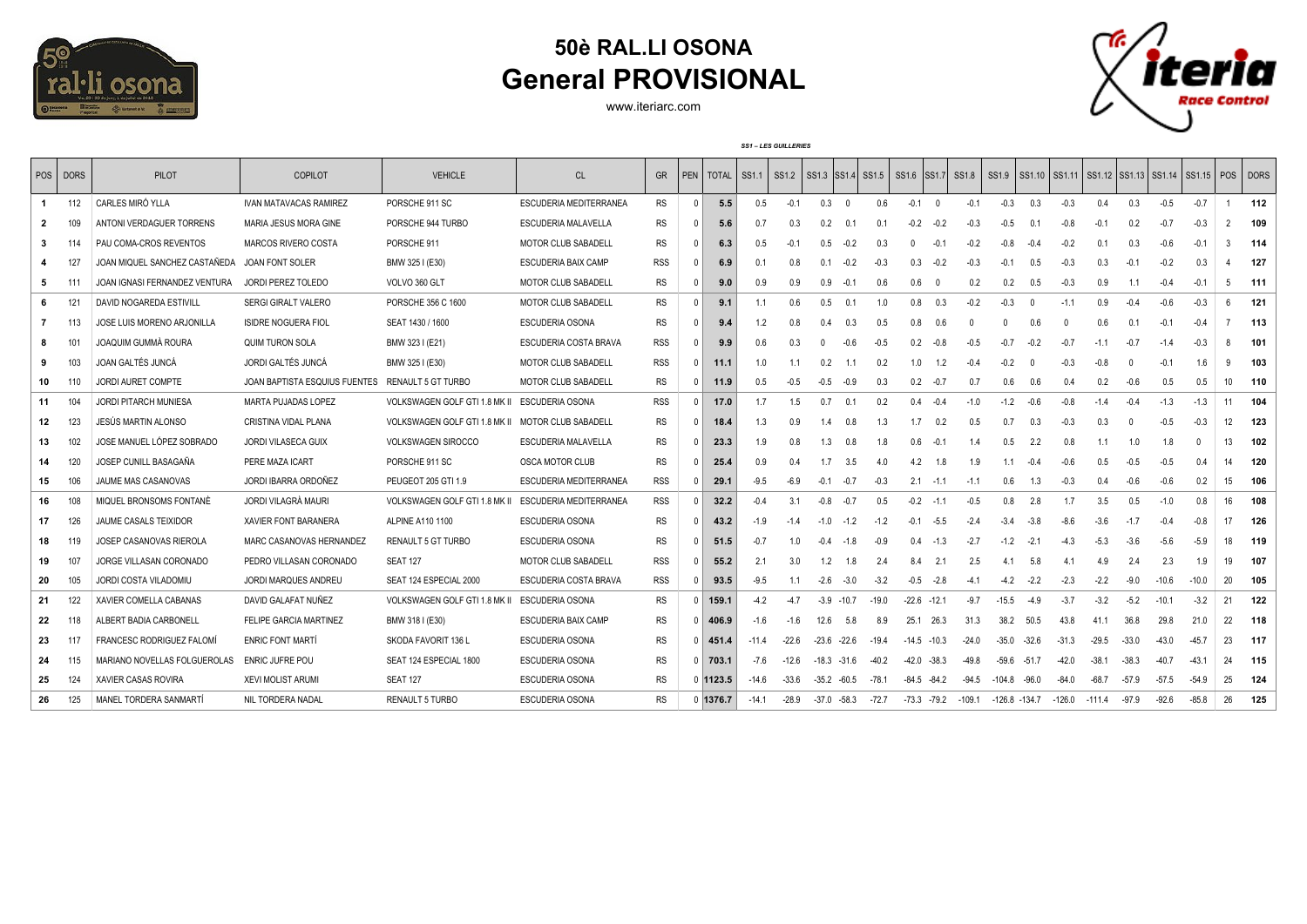

## **50è RAL.LI OSONA General PROVISIONAL**

www.iteriarc.com



*SS1 – LES GUILLERIES*

|              | POS   DORS | <b>PILOT</b>                     | COPILOT                       | <b>VEHICLE</b>                                | CL                         | <b>GR</b>  |                | PEN   TOTAL            |         |         |                |                |         | SS1.1   SS1.2   SS1.3   SS1.4   SS1.5   SS1.6   SS1.7   SS1.8 |                |          |                 |          | SS1.9 SS1.10 SS1.11 SS1.12 SS1.13 SS1.14 SS1.15 POS DORS |          |         |         |         |               |       |
|--------------|------------|----------------------------------|-------------------------------|-----------------------------------------------|----------------------------|------------|----------------|------------------------|---------|---------|----------------|----------------|---------|---------------------------------------------------------------|----------------|----------|-----------------|----------|----------------------------------------------------------|----------|---------|---------|---------|---------------|-------|
| $\mathbf{1}$ | 112        | CARLES MIRÓ YLLA                 | <b>IVAN MATAVACAS RAMIREZ</b> | PORSCHE 911 SC                                | ESCUDERIA MEDITERRANEA     | <b>RS</b>  | $^{\circ}$     | 5.5                    | 0.5     | $-0.1$  | 0.3            | $\overline{0}$ | 0.6     | $-0.1$                                                        | $\overline{0}$ | $-0.1$   | $-0.3$          | 0.3      | $-0.3$                                                   | 0.4      | 0.3     | $-0.5$  | $-0.7$  | $\mathbf{1}$  | 112   |
| $\mathbf{2}$ | 109        | ANTONI VERDAGUER TORRENS         | MARIA JESUS MORA GINE         | PORSCHE 944 TURBO                             | ESCUDERIA MALAVELLA        | <b>RS</b>  |                | 5.6                    | 0.7     | 0.3     | 0.2            | 0.1            | 0.1     | $-0.2$                                                        | $-0.2$         | $-0.3$   | $-0.5$          | 0.1      | $-0.8$                                                   | $-0.1$   | 0.2     | $-0.7$  | $-0.3$  | $\mathcal{D}$ | 109   |
| 3            |            | PAU COMA-CROS REVENTOS           | <b>MARCOS RIVERO COSTA</b>    | PORSCHE 911                                   | <b>MOTOR CLUB SABADELL</b> | <b>RS</b>  |                | 6.3                    | 0.5     | $-0.1$  | 0.5            | $-0.2$         | 0.3     | $\mathsf{r}$                                                  | $-0.1$         | $-0.2$   | $-0.8$          | $-0.4$   | $-0.2$                                                   | 01       | 0.3     | $-0.6$  | $-0.1$  | $\mathbf{R}$  | 114   |
|              | 127        | JOAN MIQUEL SANCHEZ CASTAÑEDA    | JOAN FONT SOLER               | BMW 325 I (E30)                               | ESCUDERIA BAIX CAMP        | <b>RSS</b> | $\Omega$       | 6.9                    | 0.1     | 0.8     | 0.1            | $-0.2$         | $-0.3$  | 0.3                                                           | $-0.2$         | $-0.3$   | $-0.1$          | 0.5      | $-0.3$                                                   | 0.3      | $-0.1$  | $-0.2$  | 0.3     |               | 127   |
| 5            | 111        | JOAN IGNASI FERNANDEZ VENTURA    | JORDI PEREZ TOLEDO            | VOLVO 360 GLT                                 | <b>MOTOR CLUB SABADELL</b> | <b>RS</b>  |                | 9.0                    | 0.9     | 0.9     | 0.9            | $-0.1$         | 0.6     | 0.6                                                           | $\Omega$       | 0.2      | 0.2             | 0.5      | $-0.3$                                                   | 0.9      | 1.1     | $-0.4$  | $-0.1$  | 5             | - 111 |
| 6            | 121        | DAVID NOGAREDA ESTIVILL          | <b>SERGI GIRALT VALERO</b>    | PORSCHE 356 C 1600                            | <b>MOTOR CLUB SABADELL</b> | <b>RS</b>  | $\Omega$       | 9.1                    | 1.1     | 0.6     | 0.5            | 0.1            | 1.0     | 0.8                                                           | 0.3            | $-0.2$   | $-0.3$          | $\Omega$ | $-1.1$                                                   | 0.9      | $-0.4$  | $-0.6$  | $-0.3$  | -6            | 121   |
| 7            | 113        | JOSE LUIS MORENO ARJONILLA       | <b>ISIDRE NOGUERA FIOL</b>    | SEAT 1430 / 1600                              | ESCUDERIA OSONA            | <b>RS</b>  |                | 9.4                    | 1.2     | 0.8     | 0.4            | 0.3            | 0.5     | 0.8                                                           | 0.6            |          | $\cup$          | 0.6      | $\Omega$                                                 | 0.6      | 0.1     | $-0.1$  | $-0.4$  |               | 113   |
| 8            | 101        | JOAQUIM GUMMÀ ROURA              | <b>QUIM TURON SOLA</b>        | BMW 323 I (E21)                               | ESCUDERIA COSTA BRAVA      | <b>RSS</b> | 0              | 9.9                    | 0.6     | 0.3     |                | $-0.6$         | $-0.5$  | 0.2                                                           | $-0.8$         | $-0.5$   | $-0.7$          | $-0.2$   | -0.7                                                     | $-1.1$   | $-0.7$  | $-1.4$  | $-0.3$  | -8            | 101   |
| 9            | 103        | JOAN GALTÉS JUNCÁ                | JORDI GALTÉS JUNCÁ            | BMW 325 I (E30)                               | <b>MOTOR CLUB SABADELL</b> | <b>RSS</b> | 0              | 11.1                   | 1.0     | 1.1     | 0.2            |                | 0.2     | 1.0                                                           | 1.2            | $-0.4$   | $-0.2$          |          | $-0.3$                                                   | $-0.8$   |         | $-0.1$  | 1.6     | q             | 103   |
| 10           |            | <b>JORDI AURET COMPTE</b>        | JOAN BAPTISTA ESQUIUS FUENTES | RENAULT 5 GT TURBO                            | MOTOR CLUB SABADELL        | <b>RS</b>  |                | 11.9                   | 0.5     | $-0.5$  | $-0.5$         | $-0.9$         | 0.3     | 0.2                                                           | $-0.7$         | 0.7      | 0.6             | 0.6      | 0.4                                                      | 0.2      | $-0.6$  | 0.5     | 0.5     | 10            | 110   |
| 11           | 104        | JORDI PITARCH MUNIESA            | MARTA PUJADAS LOPEZ           | VOLKSWAGEN GOLF GTI 1.8 MK II ESCUDERIA OSONA |                            | <b>RSS</b> | 0 <sup>1</sup> | 17.0                   | 1.7     | 1.5     | 0.7            | 0.1            | 0.2     | 0.4                                                           | $-0.4$         | $-1.0$   | $-1.2$          | $-0.6$   | $-0.8$                                                   | $-1.4$   | $-0.4$  | $-1.3$  | $-1.3$  | 11            | 104   |
| 12           | 123        | JESÚS MARTIN ALONSO              | CRISTINA VIDAL PLANA          | VOLKSWAGEN GOLF GTI 1.8 MK II                 | MOTOR CLUB SABADELL        | <b>RS</b>  | 0              | 18.4                   | 1.3     | 0.9     | 1.4            | 0.8            | 1.3     | 1.7                                                           | 0.2            | 0.5      | 0.7             | 0.3      | $-0.3$                                                   | 0.3      |         | $-0.5$  | $-0.3$  | 12            | 123   |
| 13           | 102        | JOSE MANUEL LÓPEZ SOBRADO        | JORDI VILASECA GUIX           | VOLKSWAGEN SIROCCO                            | ESCUDERIA MALAVELLA        | <b>RS</b>  |                | 23.3                   | 1.9     | 0.8     | 1.3            | 0.8            | 1.8     | 0.6                                                           | $-0.1$         | -1.4     | 0.5             | 2.2      | 0.8                                                      | 11       | 1.0     | 1.8     |         | 13            | 102   |
| 14           | 120        | JOSEP CUNILL BASAGAÑA            | PERE MAZA ICART               | PORSCHE 911 SC                                | <b>OSCA MOTOR CLUB</b>     | <b>RS</b>  | n              | 25.4                   | 0.9     | 0.4     | 17             | 3.5            | 4.0     | 4.2                                                           | 1.8            | 1.9      | 1.1             | -04      | $-0.6$                                                   | 0.5      | $-0.5$  | $-0.5$  | 04      | 14            | 120   |
| 15           | 106        | JAUME MAS CASANOVAS              | JORDI IBARRA ORDOÑEZ          | PEUGEOT 205 GTI 1.9                           | ESCUDERIA MEDITERRANEA     | <b>RSS</b> |                | 29.1                   | $-9.5$  | $-6.9$  | $-0.1$         | $-0.7$         | $-0.3$  | 2.1                                                           | $-1.1$         | $-1.1$   | 0.6             | 1.3      | $-0.3$                                                   | 0.4      | $-0.6$  | $-0.6$  | 0.2     | 15            | 106   |
| 16           | 108        | MIQUEL BRONSOMS FONTANE          | JORDI VILAGRÀ MAURI           | VOLKSWAGEN GOLF GTI 1.8 MK II                 | ESCUDERIA MEDITERRANEA     | <b>RSS</b> |                | 32.2                   | $-0.4$  | 3.1     | $-0.8$         | $-0.7$         | 0.5     | $-0.2$                                                        | $-1.1$         | $-0.5$   | 0.8             | 2.8      | 1.7                                                      | 3.5      | 0.5     | $-1.0$  | 0.8     | 16            | 108   |
| 17           | 126        | JAUME CASALS TEIXIDOR            | <b>XAVIER FONT BARANERA</b>   | ALPINE A110 1100                              | ESCUDERIA OSONA            | <b>RS</b>  |                | 43.2                   | $-1.9$  | $-1.4$  | $-1.0$         | $-1.2$         | $-1.2$  | $-0.1$                                                        | $-5.5$         | $-2.4$   | $-3.4$          | $-3.8$   | $-8.6$                                                   | $-3.6$   | $-1.7$  | $-0.4$  | $-0.8$  | 17            | 126   |
| 18           | 119        | JOSEP CASANOVAS RIEROLA          | MARC CASANOVAS HERNANDEZ      | RENAULT 5 GT TURBO                            | ESCUDERIA OSONA            | <b>RS</b>  |                | 51.5                   | $-0.7$  | 1.0     | $-0.4$         | $-1.8$         | $-0.9$  | 0.4                                                           | $-1.3$         | $-2.7$   | $-1.2$          | $-2.1$   | $-4.3$                                                   | $-5.3$   | $-3.6$  | $-5.6$  | $-5.9$  | 18            | 119   |
| 19           | 107        | JORGE VILLASAN CORONADO          | PEDRO VILLASAN CORONADO       | <b>SEAT 127</b>                               | MOTOR CLUB SABADELL        | <b>RSS</b> |                | 55.2                   | 2.1     | 3.0     | 1.2            | 1.8            | 2.4     | 8.4                                                           | 2.1            | 2.5      | 4.1             | 5.8      | 4.1                                                      | 4.9      | 2.4     | 2.3     | 1.9     | 19            | 107   |
| 20           | 105        | JORDI COSTA VILADOMIU            | JORDI MARQUES ANDREU          | SEAT 124 ESPECIAL 2000                        | ESCUDERIA COSTA BRAVA      | <b>RSS</b> |                | 93.5                   | $-9.5$  | 1.1     | $-2.6$         | $-3.0$         | $-3.2$  | $-0.5$                                                        | $-2.8$         | $-4.1$   | $-4.2$          | $-2.2$   | $-2.3$                                                   | $-2.2$   | $-9.0$  | $-10.6$ | $-10.0$ | 20            | 105   |
| -21          | 122        | XAVIER COMELLA CABANAS           | DAVID GALAFAT NUÑEZ           | VOLKSWAGEN GOLF GTI 1.8 MK II                 | ESCUDERIA OSONA            | <b>RS</b>  |                | 159.1                  | $-4.2$  | $-4.7$  | $-3.9$         | $-10.7$        | $-19.0$ | $-22.6$                                                       | $-12.1$        | $-9.7$   | $-15.5$         | $-4.9$   | $-3.7$                                                   | $-3.2$   | $-5.2$  | $-10.1$ | $-3.2$  | 21            | 122   |
| 22           | 118        | ALBERT BADIA CARBONELL           | FELIPE GARCIA MARTINEZ        | BMW 318 I (E30)                               | ESCUDERIA BAIX CAMP        | <b>RS</b>  |                | 0   406.9              | $-1.6$  | $-1.6$  | 12.6           | 5.8            | 8.9     | 25.1                                                          | 26.3           | 31.3     | 38.2            | 50.5     | 43.8                                                     | 41.1     | 36.8    | 29.8    | 21.0    | 22            | 118   |
| 23           | 117        | <b>FRANCESC RODRIGUEZ FALOMÍ</b> | <b>ENRIC FONT MARTÍ</b>       | SKODA FAVORIT 136 L                           | ESCUDERIA OSONA            | <b>RS</b>  |                | $0$ 451.4              | $-11.4$ | $-22.6$ | $-23.6 -22.6$  |                | $-19.4$ | $-14.5 - 10.3$                                                |                | $-24.0$  | $-35.0$         | $-32.6$  | $-31.3$                                                  | $-29.5$  | $-33.0$ | $-43.0$ | $-45.7$ | 23            | - 117 |
| 24           | 115        | MARIANO NOVELLAS FOLGUEROLAS     | ENRIC JUFRE POU               | SEAT 124 ESPECIAL 1800                        | <b>ESCUDERIA OSONA</b>     | <b>RS</b>  |                | $0$ 703.1              | $-7.6$  | $-12.6$ | $-18.3 - 31.6$ |                | $-40.2$ | $-42.0$                                                       | $-38.3$        | $-49.8$  | $-59.6$         | $-51.7$  | $-42.0$                                                  | $-38.1$  | $-38.3$ | $-40.7$ | $-43.1$ | 24            | 115   |
| 25           | 124        | XAVIER CASAS ROVIRA              | <b>XEVI MOLIST ARUMI</b>      | <b>SEAT 127</b>                               | ESCUDERIA OSONA            | <b>RS</b>  |                | $0 \vert 1123.5 \vert$ | $-14.6$ | -33.6   | $-35.2 -60.5$  |                | $-78.1$ | $-84.5 - 84.2$                                                |                | $-94.5$  | $-104.8 - 96.0$ |          | $-84.0$                                                  | $-68.7$  | -57.9   | $-57.5$ | $-54.9$ | 25            | 124   |
| 26           | 125        | MANEL TORDERA SANMARTÍ           | NIL TORDERA NADAL             | RENAULT 5 TURBO                               | ESCUDERIA OSONA            | <b>RS</b>  |                | $0$ 1376.7             | $-14.1$ | $-28.9$ | $-37.0 -58.3$  |                | $-72.7$ | $-73.3 - 79.2$                                                |                | $-109.1$ | -126.8 -134.7   |          | -126.0                                                   | $-111.4$ | $-97.9$ | $-92.6$ | $-85.8$ | 26            | 125   |